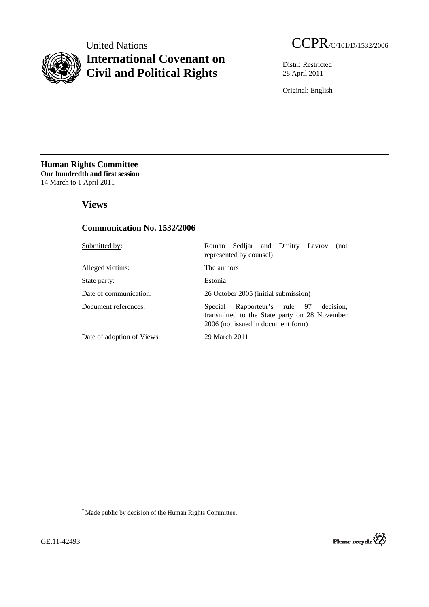

# **International Covenant on Civil and Political Rights**

United Nations CCPR/C/101/D/1532/2006

Distr.: Restricted[\\*](#page-0-0) 28 April 2011

Original: English

**Human Rights Committee One hundredth and first session** 14 March to 1 April 2011

# **Views**

## **Communication No. 1532/2006**

| Submitted by:              | Sedliar and Dmitry Lavrov<br>Roman<br>(not<br>represented by counsel)                                                               |
|----------------------------|-------------------------------------------------------------------------------------------------------------------------------------|
| Alleged victims:           | The authors                                                                                                                         |
| State party:               | Estonia                                                                                                                             |
| Date of communication:     | 26 October 2005 (initial submission)                                                                                                |
| Document references:       | Rapporteur's rule 97<br>decision.<br>Special<br>transmitted to the State party on 28 November<br>2006 (not issued in document form) |
| Date of adoption of Views: | 29 March 2011                                                                                                                       |

<span id="page-0-0"></span>\* Made public by decision of the Human Rights Committee.

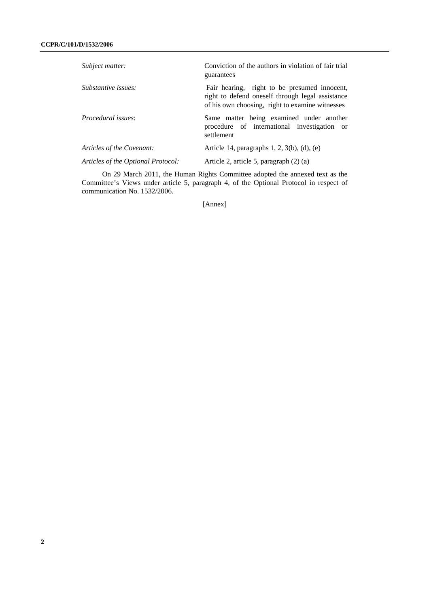| Subject matter:                    | Conviction of the authors in violation of fair trial<br>guarantees                                                                                  |
|------------------------------------|-----------------------------------------------------------------------------------------------------------------------------------------------------|
| Substantive issues:                | Fair hearing, right to be presumed innocent,<br>right to defend oneself through legal assistance<br>of his own choosing, right to examine witnesses |
| <i>Procedural issues:</i>          | Same matter being examined under another<br>procedure of international investigation or<br>settlement                                               |
| Articles of the Covenant:          | Article 14, paragraphs $1, 2, 3(b)$ , (d), (e)                                                                                                      |
| Articles of the Optional Protocol: | Article 2, article 5, paragraph (2) (a)                                                                                                             |

On 29 March 2011, the Human Rights Committee adopted the annexed text as the Committee's Views under article 5, paragraph 4, of the Optional Protocol in respect of communication No. 1532/2006.

[Annex]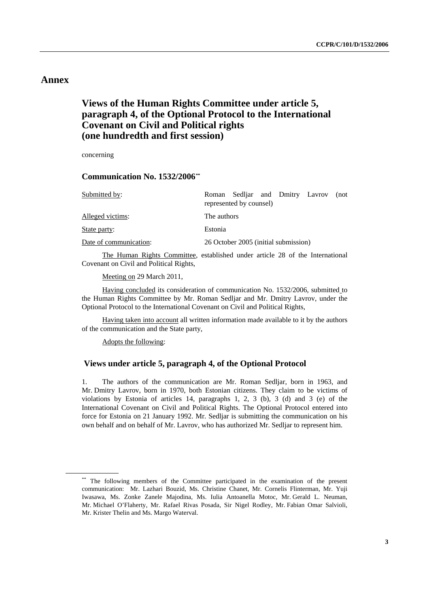# **Annex**

# **Views of the Human Rights Committee under article 5, paragraph 4, of the Optional Protocol to the International Covenant on Civil and Political rights (one hundredth and first session)**

concerning

### **Communication No. 1532/2006[\\*\\*](#page-2-0)**

| Submitted by:          | Roman Sedliar and Dmitry Lavrov<br>(not<br>represented by counsel) |
|------------------------|--------------------------------------------------------------------|
| Alleged victims:       | The authors                                                        |
| State party:           | Estonia                                                            |
| Date of communication: | 26 October 2005 (initial submission)                               |

The Human Rights Committee, established under article 28 of the International Covenant on Civil and Political Rights,

Meeting on 29 March 2011,

 Having concluded its consideration of communication No. 1532/2006, submitted to the Human Rights Committee by Mr. Roman Sedljar and Mr. Dmitry Lavrov, under the Optional Protocol to the International Covenant on Civil and Political Rights,

 Having taken into account all written information made available to it by the authors of the communication and the State party,

Adopts the following:

### **Views under article 5, paragraph 4, of the Optional Protocol**

1. The authors of the communication are Mr. Roman Sedljar, born in 1963, and Mr. Dmitry Lavrov, born in 1970, both Estonian citizens. They claim to be victims of violations by Estonia of articles 14, paragraphs 1, 2, 3 (b), 3 (d) and 3 (e) of the International Covenant on Civil and Political Rights. The Optional Protocol entered into force for Estonia on 21 January 1992. Mr. Sedljar is submitting the communication on his own behalf and on behalf of Mr. Lavrov, who has authorized Mr. Sedljar to represent him.

<span id="page-2-0"></span><sup>\*\*</sup> The following members of the Committee participated in the examination of the present communication: Mr. Lazhari Bouzid, Ms. Christine Chanet, Mr. Cornelis Flinterman, Mr. Yuji Iwasawa, Ms. Zonke Zanele Majodina, Ms. Iulia Antoanella Motoc, Mr. Gerald L. Neuman, Mr. Michael O'Flaherty, Mr. Rafael Rivas Posada, Sir Nigel Rodley, Mr. Fabian Omar Salvioli, Mr. Krister Thelin and Ms. Margo Waterval.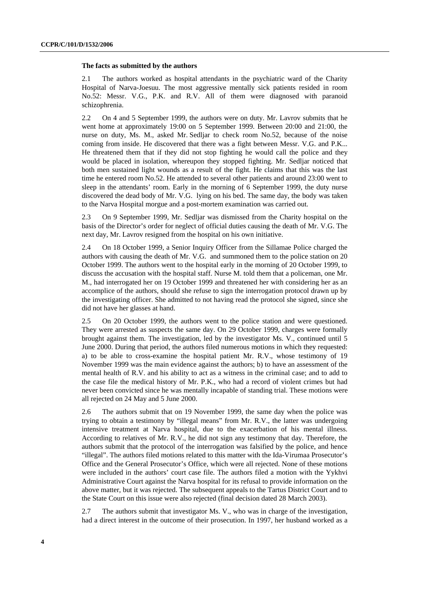#### **The facts as submitted by the authors**

2.1 The authors worked as hospital attendants in the psychiatric ward of the Charity Hospital of Narva-Joesuu. The most aggressive mentally sick patients resided in room No.52: Messr. V.G., P.K. and R.V. All of them were diagnosed with paranoid schizophrenia.

2.2 On 4 and 5 September 1999, the authors were on duty. Mr. Lavrov submits that he went home at approximately 19:00 on 5 September 1999. Between 20:00 and 21:00, the nurse on duty, Ms. M., asked Mr. Sedljar to check room No.52, because of the noise coming from inside. He discovered that there was a fight between Messr. V.G. and P.K... He threatened them that if they did not stop fighting he would call the police and they would be placed in isolation, whereupon they stopped fighting. Mr. Sedljar noticed that both men sustained light wounds as a result of the fight. He claims that this was the last time he entered room No.52. He attended to several other patients and around 23:00 went to sleep in the attendants' room. Early in the morning of 6 September 1999, the duty nurse discovered the dead body of Mr. V.G. lying on his bed. The same day, the body was taken to the Narva Hospital morgue and a post-mortem examination was carried out.

2.3 On 9 September 1999, Mr. Sedljar was dismissed from the Charity hospital on the basis of the Director's order for neglect of official duties causing the death of Mr. V.G. The next day, Mr. Lavrov resigned from the hospital on his own initiative.

2.4 On 18 October 1999, a Senior Inquiry Officer from the Sillamae Police charged the authors with causing the death of Mr. V.G. and summoned them to the police station on 20 October 1999. The authors went to the hospital early in the morning of 20 October 1999, to discuss the accusation with the hospital staff. Nurse M. told them that a policeman, one Mr. M., had interrogated her on 19 October 1999 and threatened her with considering her as an accomplice of the authors, should she refuse to sign the interrogation protocol drawn up by the investigating officer. She admitted to not having read the protocol she signed, since she did not have her glasses at hand.

2.5 On 20 October 1999, the authors went to the police station and were questioned. They were arrested as suspects the same day. On 29 October 1999, charges were formally brought against them. The investigation, led by the investigator Ms. V., continued until 5 June 2000. During that period, the authors filed numerous motions in which they requested: a) to be able to cross-examine the hospital patient Mr. R.V., whose testimony of 19 November 1999 was the main evidence against the authors; b) to have an assessment of the mental health of R.V. and his ability to act as a witness in the criminal case; and to add to the case file the medical history of Mr. P.K., who had a record of violent crimes but had never been convicted since he was mentally incapable of standing trial. These motions were all rejected on 24 May and 5 June 2000.

2.6 The authors submit that on 19 November 1999, the same day when the police was trying to obtain a testimony by "illegal means" from Mr. R.V., the latter was undergoing intensive treatment at Narva hospital, due to the exacerbation of his mental illness. According to relatives of Mr. R.V., he did not sign any testimony that day. Therefore, the authors submit that the protocol of the interrogation was falsified by the police, and hence "illegal". The authors filed motions related to this matter with the Ida-Virumaa Prosecutor's Office and the General Prosecutor's Office, which were all rejected. None of these motions were included in the authors' court case file. The authors filed a motion with the Yykhvi Administrative Court against the Narva hospital for its refusal to provide information on the above matter, but it was rejected. The subsequent appeals to the Tartus District Court and to the State Court on this issue were also rejected (final decision dated 28 March 2003).

2.7 The authors submit that investigator Ms. V., who was in charge of the investigation, had a direct interest in the outcome of their prosecution. In 1997, her husband worked as a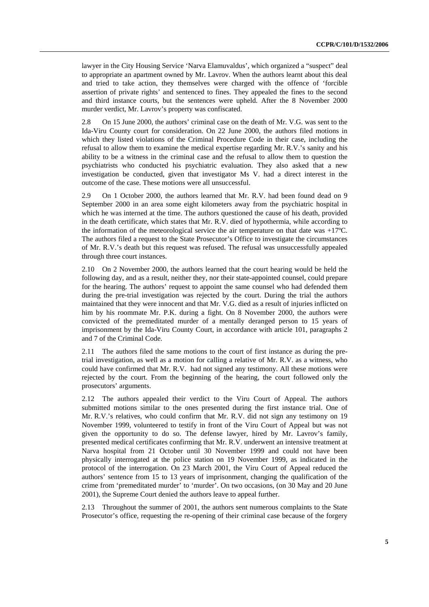lawyer in the City Housing Service 'Narva Elamuvaldus', which organized a "suspect" deal to appropriate an apartment owned by Mr. Lavrov. When the authors learnt about this deal and tried to take action, they themselves were charged with the offence of 'forcible assertion of private rights' and sentenced to fines. They appealed the fines to the second and third instance courts, but the sentences were upheld. After the 8 November 2000 murder verdict, Mr. Lavrov's property was confiscated.

2.8 On 15 June 2000, the authors' criminal case on the death of Mr. V.G. was sent to the Ida-Viru County court for consideration. On 22 June 2000, the authors filed motions in which they listed violations of the Criminal Procedure Code in their case, including the refusal to allow them to examine the medical expertise regarding Mr. R.V.'s sanity and his ability to be a witness in the criminal case and the refusal to allow them to question the psychiatrists who conducted his psychiatric evaluation. They also asked that a new investigation be conducted, given that investigator Ms V. had a direct interest in the outcome of the case. These motions were all unsuccessful.

2.9 On 1 October 2000, the authors learned that Mr. R.V. had been found dead on 9 September 2000 in an area some eight kilometers away from the psychiatric hospital in which he was interned at the time. The authors questioned the cause of his death, provided in the death certificate, which states that Mr. R.V. died of hypothermia, while according to the information of the meteorological service the air temperature on that date was  $+17^{\circ}$ C. The authors filed a request to the State Prosecutor's Office to investigate the circumstances of Mr. R.V.'s death but this request was refused. The refusal was unsuccessfully appealed through three court instances.

2.10 On 2 November 2000, the authors learned that the court hearing would be held the following day, and as a result, neither they, nor their state-appointed counsel, could prepare for the hearing. The authors' request to appoint the same counsel who had defended them during the pre-trial investigation was rejected by the court. During the trial the authors maintained that they were innocent and that Mr. V.G. died as a result of injuries inflicted on him by his roommate Mr. P.K. during a fight. On 8 November 2000, the authors were convicted of the premeditated murder of a mentally deranged person to 15 years of imprisonment by the Ida-Viru County Court, in accordance with article 101, paragraphs 2 and 7 of the Criminal Code.

2.11 The authors filed the same motions to the court of first instance as during the pretrial investigation, as well as a motion for calling a relative of Mr. R.V. as a witness, who could have confirmed that Mr. R.V. had not signed any testimony. All these motions were rejected by the court. From the beginning of the hearing, the court followed only the prosecutors' arguments.

2.12 The authors appealed their verdict to the Viru Court of Appeal. The authors submitted motions similar to the ones presented during the first instance trial. One of Mr. R.V.'s relatives, who could confirm that Mr. R.V. did not sign any testimony on 19 November 1999, volunteered to testify in front of the Viru Court of Appeal but was not given the opportunity to do so. The defense lawyer, hired by Mr. Lavrov's family, presented medical certificates confirming that Mr. R.V. underwent an intensive treatment at Narva hospital from 21 October until 30 November 1999 and could not have been physically interrogated at the police station on 19 November 1999, as indicated in the protocol of the interrogation. On 23 March 2001, the Viru Court of Appeal reduced the authors' sentence from 15 to 13 years of imprisonment, changing the qualification of the crime from 'premeditated murder' to 'murder'. On two occasions, (on 30 May and 20 June 2001), the Supreme Court denied the authors leave to appeal further.

2.13 Throughout the summer of 2001, the authors sent numerous complaints to the State Prosecutor's office, requesting the re-opening of their criminal case because of the forgery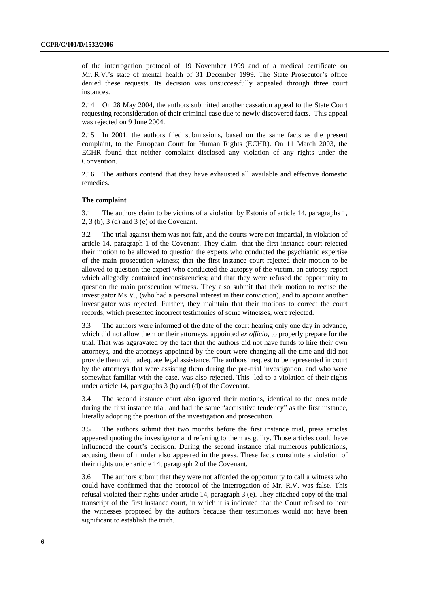of the interrogation protocol of 19 November 1999 and of a medical certificate on Mr. R.V.'s state of mental health of 31 December 1999. The State Prosecutor's office denied these requests. Its decision was unsuccessfully appealed through three court instances.

2.14 On 28 May 2004, the authors submitted another cassation appeal to the State Court requesting reconsideration of their criminal case due to newly discovered facts. This appeal was rejected on 9 June 2004.

2.15 In 2001, the authors filed submissions, based on the same facts as the present complaint, to the European Court for Human Rights (ECHR). On 11 March 2003, the ECHR found that neither complaint disclosed any violation of any rights under the Convention.

2.16 The authors contend that they have exhausted all available and effective domestic remedies.

#### **The complaint**

3.1 The authors claim to be victims of a violation by Estonia of article 14, paragraphs 1, 2, 3 (b), 3 (d) and 3 (e) of the Covenant.

3.2 The trial against them was not fair, and the courts were not impartial, in violation of article 14, paragraph 1 of the Covenant. They claim that the first instance court rejected their motion to be allowed to question the experts who conducted the psychiatric expertise of the main prosecution witness; that the first instance court rejected their motion to be allowed to question the expert who conducted the autopsy of the victim, an autopsy report which allegedly contained inconsistencies; and that they were refused the opportunity to question the main prosecution witness. They also submit that their motion to recuse the investigator Ms V., (who had a personal interest in their conviction), and to appoint another investigator was rejected. Further, they maintain that their motions to correct the court records, which presented incorrect testimonies of some witnesses, were rejected.

3.3 The authors were informed of the date of the court hearing only one day in advance, which did not allow them or their attorneys, appointed *ex officio*, to properly prepare for the trial. That was aggravated by the fact that the authors did not have funds to hire their own attorneys, and the attorneys appointed by the court were changing all the time and did not provide them with adequate legal assistance. The authors' request to be represented in court by the attorneys that were assisting them during the pre-trial investigation, and who were somewhat familiar with the case, was also rejected. This led to a violation of their rights under article 14, paragraphs 3 (b) and (d) of the Covenant.

3.4 The second instance court also ignored their motions, identical to the ones made during the first instance trial, and had the same "accusative tendency" as the first instance, literally adopting the position of the investigation and prosecution.

3.5 The authors submit that two months before the first instance trial, press articles appeared quoting the investigator and referring to them as guilty. Those articles could have influenced the court's decision. During the second instance trial numerous publications, accusing them of murder also appeared in the press. These facts constitute a violation of their rights under article 14, paragraph 2 of the Covenant.

3.6 The authors submit that they were not afforded the opportunity to call a witness who could have confirmed that the protocol of the interrogation of Mr. R.V. was false. This refusal violated their rights under article 14, paragraph 3 (e). They attached copy of the trial transcript of the first instance court, in which it is indicated that the Court refused to hear the witnesses proposed by the authors because their testimonies would not have been significant to establish the truth.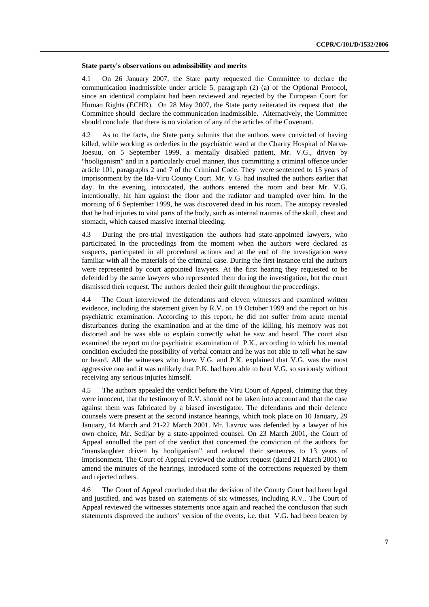#### **State party's observations on admissibility and merits**

4.1 On 26 January 2007, the State party requested the Committee to declare the communication inadmissible under article 5, paragraph (2) (a) of the Optional Protocol, since an identical complaint had been reviewed and rejected by the European Court for Human Rights (ECHR). On 28 May 2007, the State party reiterated its request that the Committee should declare the communication inadmissible. Alternatively, the Committee should conclude that there is no violation of any of the articles of the Covenant.

4.2 As to the facts, the State party submits that the authors were convicted of having killed, while working as orderlies in the psychiatric ward at the Charity Hospital of Narva-Joesuu, on 5 September 1999, a mentally disabled patient, Mr. V.G., driven by "hooliganism" and in a particularly cruel manner, thus committing a criminal offence under article 101, paragraphs 2 and 7 of the Criminal Code. They were sentenced to 15 years of imprisonment by the Ida-Viru County Court. Mr. V.G. had insulted the authors earlier that day. In the evening, intoxicated, the authors entered the room and beat Mr. V.G. intentionally, hit him against the floor and the radiator and trampled over him. In the morning of 6 September 1999, he was discovered dead in his room. The autopsy revealed that he had injuries to vital parts of the body, such as internal traumas of the skull, chest and stomach, which caused massive internal bleeding.

4.3 During the pre-trial investigation the authors had state-appointed lawyers, who participated in the proceedings from the moment when the authors were declared as suspects, participated in all procedural actions and at the end of the investigation were familiar with all the materials of the criminal case. During the first instance trial the authors were represented by court appointed lawyers. At the first hearing they requested to be defended by the same lawyers who represented them during the investigation, but the court dismissed their request. The authors denied their guilt throughout the proceedings.

4.4 The Court interviewed the defendants and eleven witnesses and examined written evidence, including the statement given by R.V. on 19 October 1999 and the report on his psychiatric examination. According to this report, he did not suffer from acute mental disturbances during the examination and at the time of the killing, his memory was not distorted and he was able to explain correctly what he saw and heard. The court also examined the report on the psychiatric examination of P.K., according to which his mental condition excluded the possibility of verbal contact and he was not able to tell what he saw or heard. All the witnesses who knew V.G. and P.K. explained that V.G. was the most aggressive one and it was unlikely that P.K. had been able to beat V.G. so seriously without receiving any serious injuries himself.

4.5 The authors appealed the verdict before the Viru Court of Appeal, claiming that they were innocent, that the testimony of R.V. should not be taken into account and that the case against them was fabricated by a biased investigator. The defendants and their defence counsels were present at the second instance hearings, which took place on 10 January, 29 January, 14 March and 21-22 March 2001. Mr. Lavrov was defended by a lawyer of his own choice, Mr. Sedljar by a state-appointed counsel. On 23 March 2001, the Court of Appeal annulled the part of the verdict that concerned the conviction of the authors for "manslaughter driven by hooliganism" and reduced their sentences to 13 years of imprisonment. The Court of Appeal reviewed the authors request (dated 21 March 2001) to amend the minutes of the hearings, introduced some of the corrections requested by them and rejected others.

4.6 The Court of Appeal concluded that the decision of the County Court had been legal and justified, and was based on statements of six witnesses, including R.V.. The Court of Appeal reviewed the witnesses statements once again and reached the conclusion that such statements disproved the authors' version of the events, i.e. that V.G. had been beaten by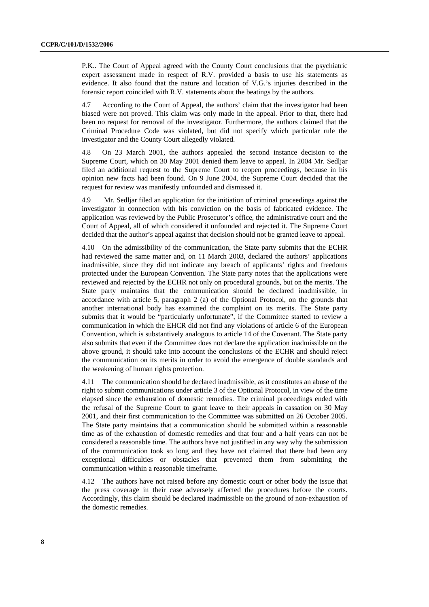P.K.. The Court of Appeal agreed with the County Court conclusions that the psychiatric expert assessment made in respect of R.V. provided a basis to use his statements as evidence. It also found that the nature and location of V.G.'s injuries described in the forensic report coincided with R.V. statements about the beatings by the authors.

4.7 According to the Court of Appeal, the authors' claim that the investigator had been biased were not proved. This claim was only made in the appeal. Prior to that, there had been no request for removal of the investigator. Furthermore, the authors claimed that the Criminal Procedure Code was violated, but did not specify which particular rule the investigator and the County Court allegedly violated.

4.8 On 23 March 2001, the authors appealed the second instance decision to the Supreme Court, which on 30 May 2001 denied them leave to appeal. In 2004 Mr. Sedljar filed an additional request to the Supreme Court to reopen proceedings, because in his opinion new facts had been found. On 9 June 2004, the Supreme Court decided that the request for review was manifestly unfounded and dismissed it.

4.9 Mr. Sedljar filed an application for the initiation of criminal proceedings against the investigator in connection with his conviction on the basis of fabricated evidence. The application was reviewed by the Public Prosecutor's office, the administrative court and the Court of Appeal, all of which considered it unfounded and rejected it. The Supreme Court decided that the author's appeal against that decision should not be granted leave to appeal.

4.10 On the admissibility of the communication, the State party submits that the ECHR had reviewed the same matter and, on 11 March 2003, declared the authors' applications inadmissible, since they did not indicate any breach of applicants' rights and freedoms protected under the European Convention. The State party notes that the applications were reviewed and rejected by the ECHR not only on procedural grounds, but on the merits. The State party maintains that the communication should be declared inadmissible, in accordance with article 5, paragraph 2 (a) of the Optional Protocol, on the grounds that another international body has examined the complaint on its merits. The State party submits that it would be "particularly unfortunate", if the Committee started to review a communication in which the EHCR did not find any violations of article 6 of the European Convention, which is substantively analogous to article 14 of the Covenant. The State party also submits that even if the Committee does not declare the application inadmissible on the above ground, it should take into account the conclusions of the ECHR and should reject the communication on its merits in order to avoid the emergence of double standards and the weakening of human rights protection.

4.11 The communication should be declared inadmissible, as it constitutes an abuse of the right to submit communications under article 3 of the Optional Protocol, in view of the time elapsed since the exhaustion of domestic remedies. The criminal proceedings ended with the refusal of the Supreme Court to grant leave to their appeals in cassation on 30 May 2001, and their first communication to the Committee was submitted on 26 October 2005. The State party maintains that a communication should be submitted within a reasonable time as of the exhaustion of domestic remedies and that four and a half years can not be considered a reasonable time. The authors have not justified in any way why the submission of the communication took so long and they have not claimed that there had been any exceptional difficulties or obstacles that prevented them from submitting the communication within a reasonable timeframe.

4.12 The authors have not raised before any domestic court or other body the issue that the press coverage in their case adversely affected the procedures before the courts. Accordingly, this claim should be declared inadmissible on the ground of non-exhaustion of the domestic remedies.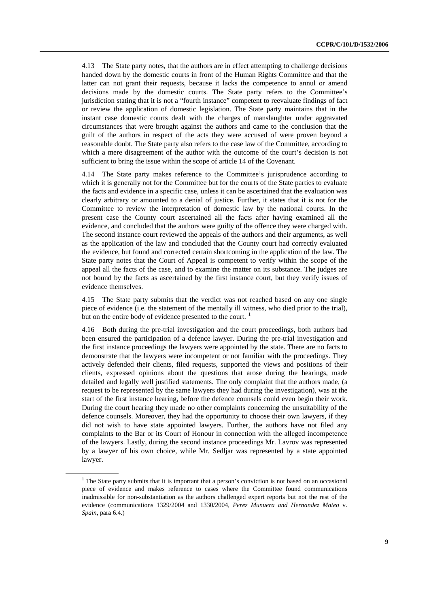4.13 The State party notes, that the authors are in effect attempting to challenge decisions handed down by the domestic courts in front of the Human Rights Committee and that the latter can not grant their requests, because it lacks the competence to annul or amend decisions made by the domestic courts. The State party refers to the Committee's jurisdiction stating that it is not a "fourth instance" competent to reevaluate findings of fact or review the application of domestic legislation. The State party maintains that in the instant case domestic courts dealt with the charges of manslaughter under aggravated circumstances that were brought against the authors and came to the conclusion that the guilt of the authors in respect of the acts they were accused of were proven beyond a reasonable doubt. The State party also refers to the case law of the Committee, according to which a mere disagreement of the author with the outcome of the court's decision is not sufficient to bring the issue within the scope of article 14 of the Covenant.

4.14 The State party makes reference to the Committee's jurisprudence according to which it is generally not for the Committee but for the courts of the State parties to evaluate the facts and evidence in a specific case, unless it can be ascertained that the evaluation was clearly arbitrary or amounted to a denial of justice. Further, it states that it is not for the Committee to review the interpretation of domestic law by the national courts. In the present case the County court ascertained all the facts after having examined all the evidence, and concluded that the authors were guilty of the offence they were charged with. The second instance court reviewed the appeals of the authors and their arguments, as well as the application of the law and concluded that the County court had correctly evaluated the evidence, but found and corrected certain shortcoming in the application of the law. The State party notes that the Court of Appeal is competent to verify within the scope of the appeal all the facts of the case, and to examine the matter on its substance. The judges are not bound by the facts as ascertained by the first instance court, but they verify issues of evidence themselves.

4.15 The State party submits that the verdict was not reached based on any one single piece of evidence (i.e. the statement of the mentally ill witness, who died prior to the trial), but on the entire body of evidence presented to the court.

4.16 Both during the pre-trial investigation and the court proceedings, both authors had been ensured the participation of a defence lawyer. During the pre-trial investigation and the first instance proceedings the lawyers were appointed by the state. There are no facts to demonstrate that the lawyers were incompetent or not familiar with the proceedings. They actively defended their clients, filed requests, supported the views and positions of their clients, expressed opinions about the questions that arose during the hearings, made detailed and legally well justified statements. The only complaint that the authors made, (a request to be represented by the same lawyers they had during the investigation), was at the start of the first instance hearing, before the defence counsels could even begin their work. During the court hearing they made no other complaints concerning the unsuitability of the defence counsels. Moreover, they had the opportunity to choose their own lawyers, if they did not wish to have state appointed lawyers. Further, the authors have not filed any complaints to the Bar or its Court of Honour in connection with the alleged incompetence of the lawyers. Lastly, during the second instance proceedings Mr. Lavrov was represented by a lawyer of his own choice, while Mr. Sedljar was represented by a state appointed lawyer.

<span id="page-8-0"></span><sup>&</sup>lt;sup>1</sup> The State party submits that it is important that a person's conviction is not based on an occasional piece of evidence and makes reference to cases where the Committee found communications inadmissible for non-substantiation as the authors challenged expert reports but not the rest of the evidence (communications 1329/2004 and 1330/2004, *Perez Munuera and Hernandez Mateo* v. *Spain*, para 6.4.)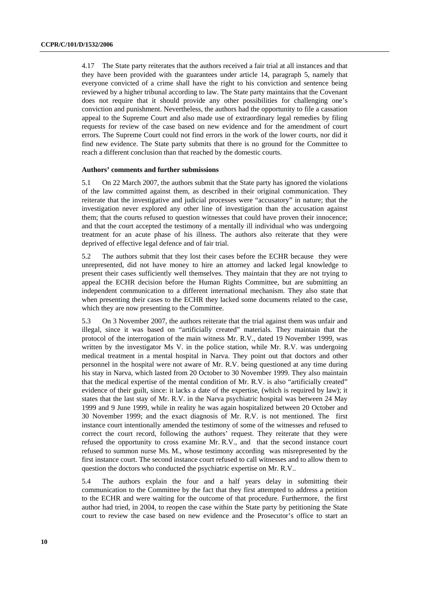4.17 The State party reiterates that the authors received a fair trial at all instances and that they have been provided with the guarantees under article 14, paragraph 5, namely that everyone convicted of a crime shall have the right to his conviction and sentence being reviewed by a higher tribunal according to law. The State party maintains that the Covenant does not require that it should provide any other possibilities for challenging one's conviction and punishment. Nevertheless, the authors had the opportunity to file a cassation appeal to the Supreme Court and also made use of extraordinary legal remedies by filing requests for review of the case based on new evidence and for the amendment of court errors. The Supreme Court could not find errors in the work of the lower courts, nor did it find new evidence. The State party submits that there is no ground for the Committee to reach a different conclusion than that reached by the domestic courts.

#### **Authors' comments and further submissions**

5.1 On 22 March 2007, the authors submit that the State party has ignored the violations of the law committed against them, as described in their original communication. They reiterate that the investigative and judicial processes were "accusatory" in nature; that the investigation never explored any other line of investigation than the accusation against them; that the courts refused to question witnesses that could have proven their innocence; and that the court accepted the testimony of a mentally ill individual who was undergoing treatment for an acute phase of his illness. The authors also reiterate that they were deprived of effective legal defence and of fair trial.

5.2 The authors submit that they lost their cases before the ECHR because they were unrepresented, did not have money to hire an attorney and lacked legal knowledge to present their cases sufficiently well themselves. They maintain that they are not trying to appeal the ECHR decision before the Human Rights Committee, but are submitting an independent communication to a different international mechanism. They also state that when presenting their cases to the ECHR they lacked some documents related to the case, which they are now presenting to the Committee.

5.3 On 3 November 2007, the authors reiterate that the trial against them was unfair and illegal, since it was based on "artificially created" materials. They maintain that the protocol of the interrogation of the main witness Mr. R.V., dated 19 November 1999, was written by the investigator Ms V. in the police station, while Mr. R.V. was undergoing medical treatment in a mental hospital in Narva. They point out that doctors and other personnel in the hospital were not aware of Mr. R.V. being questioned at any time during his stay in Narva, which lasted from 20 October to 30 November 1999. They also maintain that the medical expertise of the mental condition of Mr. R.V. is also "artificially created" evidence of their guilt, since: it lacks a date of the expertise, (which is required by law); it states that the last stay of Mr. R.V. in the Narva psychiatric hospital was between 24 May 1999 and 9 June 1999, while in reality he was again hospitalized between 20 October and 30 November 1999; and the exact diagnosis of Mr. R.V. is not mentioned. The first instance court intentionally amended the testimony of some of the witnesses and refused to correct the court record, following the authors' request. They reiterate that they were refused the opportunity to cross examine Mr. R.V., and that the second instance court refused to summon nurse Ms. M., whose testimony according was misrepresented by the first instance court. The second instance court refused to call witnesses and to allow them to question the doctors who conducted the psychiatric expertise on Mr. R.V..

5.4 The authors explain the four and a half years delay in submitting their communication to the Committee by the fact that they first attempted to address a petition to the ECHR and were waiting for the outcome of that procedure. Furthermore, the first author had tried, in 2004, to reopen the case within the State party by petitioning the State court to review the case based on new evidence and the Prosecutor's office to start an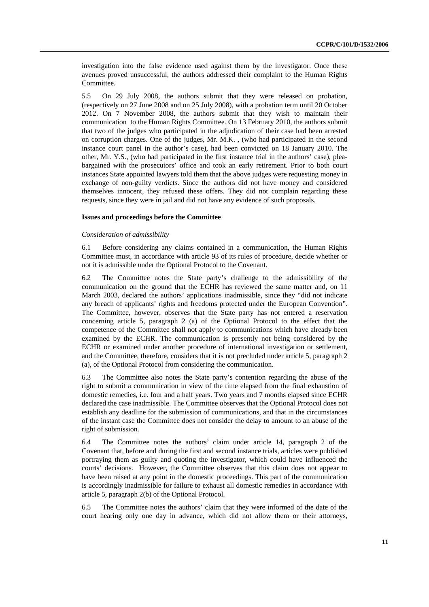investigation into the false evidence used against them by the investigator. Once these avenues proved unsuccessful, the authors addressed their complaint to the Human Rights Committee.

5.5 On 29 July 2008, the authors submit that they were released on probation, (respectively on 27 June 2008 and on 25 July 2008), with a probation term until 20 October 2012. On 7 November 2008, the authors submit that they wish to maintain their communication to the Human Rights Committee. On 13 February 2010, the authors submit that two of the judges who participated in the adjudication of their case had been arrested on corruption charges. One of the judges, Mr. M.K. , (who had participated in the second instance court panel in the author's case), had been convicted on 18 January 2010. The other, Mr. Y.S., (who had participated in the first instance trial in the authors' case), pleabargained with the prosecutors' office and took an early retirement. Prior to both court instances State appointed lawyers told them that the above judges were requesting money in exchange of non-guilty verdicts. Since the authors did not have money and considered themselves innocent, they refused these offers. They did not complain regarding these requests, since they were in jail and did not have any evidence of such proposals.

### **Issues and proceedings before the Committee**

#### *Consideration of admissibility*

6.1 Before considering any claims contained in a communication, the Human Rights Committee must, in accordance with article 93 of its rules of procedure, decide whether or not it is admissible under the Optional Protocol to the Covenant.

6.2 The Committee notes the State party's challenge to the admissibility of the communication on the ground that the ECHR has reviewed the same matter and, on 11 March 2003, declared the authors' applications inadmissible, since they "did not indicate any breach of applicants' rights and freedoms protected under the European Convention". The Committee, however, observes that the State party has not entered a reservation concerning article 5, paragraph 2 (a) of the Optional Protocol to the effect that the competence of the Committee shall not apply to communications which have already been examined by the ECHR. The communication is presently not being considered by the ECHR or examined under another procedure of international investigation or settlement, and the Committee, therefore, considers that it is not precluded under article 5, paragraph 2 (a), of the Optional Protocol from considering the communication.

6.3 The Committee also notes the State party's contention regarding the abuse of the right to submit a communication in view of the time elapsed from the final exhaustion of domestic remedies, i.e. four and a half years. Two years and 7 months elapsed since ECHR declared the case inadmissible. The Committee observes that the Optional Protocol does not establish any deadline for the submission of communications, and that in the circumstances of the instant case the Committee does not consider the delay to amount to an abuse of the right of submission.

6.4 The Committee notes the authors' claim under article 14, paragraph 2 of the Covenant that, before and during the first and second instance trials, articles were published portraying them as guilty and quoting the investigator, which could have influenced the courts' decisions. However, the Committee observes that this claim does not appear to have been raised at any point in the domestic proceedings. This part of the communication is accordingly inadmissible for failure to exhaust all domestic remedies in accordance with article 5, paragraph 2(b) of the Optional Protocol.

6.5 The Committee notes the authors' claim that they were informed of the date of the court hearing only one day in advance, which did not allow them or their attorneys,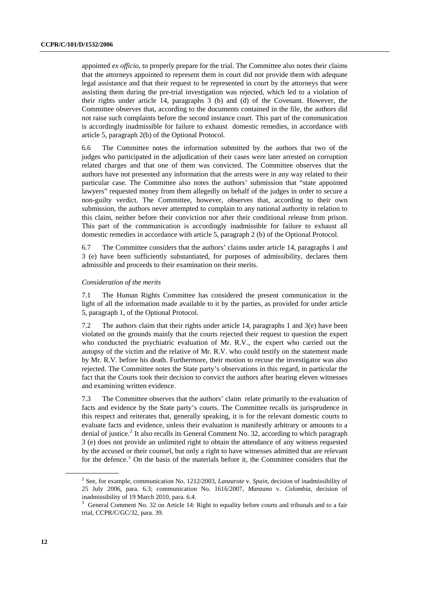appointed *ex officio*, to properly prepare for the trial. The Committee also notes their claims that the attorneys appointed to represent them in court did not provide them with adequate legal assistance and that their request to be represented in court by the attorneys that were assisting them during the pre-trial investigation was rejected, which led to a violation of their rights under article 14, paragraphs 3 (b) and (d) of the Covenant. However, the Committee observes that, according to the documents contained in the file, the authors did not raise such complaints before the second instance court. This part of the communication is accordingly inadmissible for failure to exhaust domestic remedies, in accordance with article 5, paragraph 2(b) of the Optional Protocol.

6.6 The Committee notes the information submitted by the authors that two of the judges who participated in the adjudication of their cases were later arrested on corruption related charges and that one of them was convicted. The Committee observes that the authors have not presented any information that the arrests were in any way related to their particular case. The Committee also notes the authors' submission that "state appointed lawyers" requested money from them allegedly on behalf of the judges in order to secure a non-guilty verdict. The Committee, however, observes that, according to their own submission, the authors never attempted to complain to any national authority in relation to this claim, neither before their conviction nor after their conditional release from prison. This part of the communication is accordingly inadmissible for failure to exhaust all domestic remedies in accordance with article 5, paragraph 2 (b) of the Optional Protocol.

6.7 The Committee considers that the authors' claims under article 14, paragraphs 1 and 3 (e) have been sufficiently substantiated, for purposes of admissibility, declares them admissible and proceeds to their examination on their merits.

### *Consideration of the merits*

7.1 The Human Rights Committee has considered the present communication in the light of all the information made available to it by the parties, as provided for under article 5, paragraph 1, of the Optional Protocol.

7.2 The authors claim that their rights under article 14, paragraphs 1 and  $3(e)$  have been violated on the grounds mainly that the courts rejected their request to question the expert who conducted the psychiatric evaluation of Mr. R.V., the expert who carried out the autopsy of the victim and the relative of Mr. R.V. who could testify on the statement made by Mr. R.V. before his death. Furthermore, their motion to recuse the investigator was also rejected. The Committee notes the State party's observations in this regard, in particular the fact that the Courts took their decision to convict the authors after hearing eleven witnesses and examining written evidence.

7.3 The Committee observes that the authors' claim relate primarily to the evaluation of facts and evidence by the State party's courts. The Committee recalls its jurisprudence in this respect and reiterates that, generally speaking, it is for the relevant domestic courts to evaluate facts and evidence, unless their evaluation is manifestly arbitrary or amounts to a denial of justice.<sup>[2](#page-11-0)</sup> It also recalls its General Comment No. 32, according to which paragraph 3 (e) does not provide an unlimited right to obtain the attendance of any witness requested by the accused or their counsel, but only a right to have witnesses admitted that are relevant for the defence.<sup>[3](#page-11-1)</sup> On the basis of the materials before it, the Committee considers that the

<span id="page-11-0"></span><sup>2</sup> See, for example, communication No. 1212/2003, *Lanzarote* v*. Spain*, decision of inadmissibility of 25 July 2006, para. 6.3; communication No. 1616/2007, *Manzano* v. *Colombia*, decision of inadmissibility of 19 March 2010, para. 6.4.

<span id="page-11-1"></span><sup>&</sup>lt;sup>3</sup> General Comment No. 32 on Article 14: Right to equality before courts and tribunals and to a fair trial, CCPR/C/GC/32, para. 39.